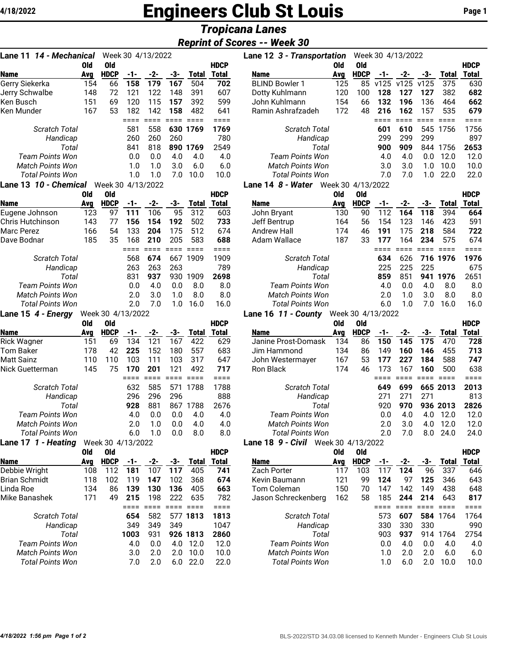# **4/18/2022 Engineers Club St Louis** Page 1

## *Tropicana Lanes*

## *Reprint of Scores -- Week 30*

| 14 - Mechanical<br>Lane 11                        |            | Week 30 4/13/2022  |             |              |            |                     |                     |
|---------------------------------------------------|------------|--------------------|-------------|--------------|------------|---------------------|---------------------|
|                                                   | <b>Old</b> | <b>Old</b>         |             |              |            |                     | <b>HDCP</b>         |
| <b>Name</b>                                       | Avg        | <b>HDCP</b>        | -1-         | $-2-$        | -3-        | <b>Total</b>        | <b>Total</b>        |
| Gerry Siekerka                                    | 154        | 66                 | 158         | 179          | 167        | 504                 | 702                 |
| Jerry Schwalbe                                    | 148        | 72                 | 121         | 122          | 148        | 391                 | 607                 |
| Ken Busch<br>Ken Munder                           | 151        | 69                 | 120         | 115<br>142   | 157<br>158 | 392<br>482          | 599<br>641          |
|                                                   | 167        | 53                 | 182<br>==== | ====         | ====       | $====$              | $====$              |
| Scratch Total                                     |            |                    | 581         | 558          | 630        | 1769                | 1769                |
| Handicap                                          |            |                    | 260         | 260          | 260        |                     | 780                 |
| Total                                             |            |                    | 841         | 818          | 890        | 1769                | 2549                |
| <b>Team Points Won</b>                            |            |                    | 0.0         | 0.0          | 4.0        | 4.0                 | 4.0                 |
| <b>Match Points Won</b>                           |            |                    | 1.0         | 1.0          | 3.0        | 6.0                 | 6.0                 |
| <b>Total Points Won</b>                           |            |                    | 1.0         | 1.0          | 7.0        | 10.0                | 10.0                |
| Lane 13 10 - Chemical                             |            | Week 30 4/13/2022  |             |              |            |                     |                     |
|                                                   | Old        | Old                |             |              |            |                     | <b>HDCP</b>         |
| <b>Name</b>                                       | Avg        | <b>HDCP</b>        | -1-         | -2-          | -3-        | <b>Total</b>        | Total               |
| Eugene Johnson                                    | 123        | 97                 | 111         | 106          | 95         | 312                 | 603                 |
| Chris Hutchinson                                  | 143        | 77                 | 156         | 154          | 192        | 502                 | 733                 |
| Marc Perez                                        | 166        | 54                 | 133         | 204          | 175        | 512                 | 674                 |
| Dave Bodnar                                       | 185        | 35                 | 168         | 210          | 205        | 583                 | 688                 |
|                                                   |            |                    | ====        | $====$       | ====       | ====                | ====                |
| <b>Scratch Total</b>                              |            |                    | 568         | 674          | 667        | 1909                | 1909                |
| Handicap                                          |            |                    | 263         | 263          | 263        |                     | 789                 |
| Total                                             |            |                    | 831         | 937          | 930        | 1909                | 2698                |
| <b>Team Points Won</b><br><b>Match Points Won</b> |            |                    | 0.0         | 4.0          | 0.0        | 8.0                 | 8.0                 |
| <b>Total Points Won</b>                           |            |                    | 2.0<br>2.0  | 3.0<br>7.0   | 1.0<br>1.0 | 8.0<br>16.0         | 8.0<br>16.0         |
| Lane 15 4 - Energy                                |            | Week 30 4/13/2022  |             |              |            |                     |                     |
|                                                   | Old        | Old                |             |              |            |                     | <b>HDCP</b>         |
| Name                                              | Ava        | <b>HDCP</b>        | -1-         | -2-          | -3-        | <b>Total</b>        | <b>Total</b>        |
| Rick Wagner                                       | 151        | 69                 | 134         | 121          | 167        | 422                 | 629                 |
| <b>Tom Baker</b>                                  | 178        | 42                 | 225         | 152          | 180        | 557                 | 683                 |
| Matt Sainz                                        | 110        | 110                | 103         | 111          | 103        | 317                 | 647                 |
| Nick Guetterman                                   | 145        | 75                 | 170         | 201          | 121        | 492                 | 717                 |
|                                                   |            |                    | ====        | ====         | ====       | ====                | ====                |
| <b>Scratch Total</b>                              |            |                    | 632         | 585          | 571        | 1788                | 1788                |
| Handicap                                          |            |                    | 296         | 296          | 296        |                     | 888                 |
| Total                                             |            |                    | 928         | 881          | 867        | 1788                | 2676                |
| Team Points Won                                   |            |                    | 4.0         | 0.0          | 0.0        | 4.0                 | 4.0                 |
| Match Points Won                                  |            |                    | 2.0         | 1.0          | 0.0        | 4.0                 | 4.0                 |
| Total Points Won                                  |            |                    | 6.0         | 1.0          | 0.0        | 8.0                 | 8.0                 |
| Lane 17 1 - Heating                               |            | Week 30 4/13/2022  |             |              |            |                     |                     |
|                                                   | Old        | Old                |             |              |            |                     | <b>HDCP</b>         |
| <b>Name</b><br>Debbie Wright                      | Avg<br>108 | <b>HDCP</b><br>112 | -1-<br>181  | $-2-$<br>107 | -3-<br>117 | <b>Total</b><br>405 | <b>Total</b><br>741 |
| <b>Brian Schmidt</b>                              | 118        | 102                | 119         | 147          | 102        | 368                 | 674                 |
| Linda Roe                                         | 134        | 86                 | 139         | 130          | 136        | 405                 | 663                 |
| Mike Banashek                                     | 171        | 49                 | 215         | 198          | 222        | 635                 | 782                 |
|                                                   |            |                    | ====        | ====         | ====       | $=$ $=$ $=$ $=$     | $====$              |
| <b>Scratch Total</b>                              |            |                    | 654         | 582          |            | 577 1813            | 1813                |
| Handicap                                          |            |                    | 349         | 349          | 349        |                     | 1047                |
| Total                                             |            |                    | 1003        | 931          |            | 926 1813            | 2860                |
| <b>Team Points Won</b>                            |            |                    | 4.0         | 0.0          | 4.0        | 12.0                | 12.0                |
| <b>Match Points Won</b>                           |            |                    | 3.0         | 2.0          | 2.0        | 10.0                | 10.0                |
| <b>Total Points Won</b>                           |            |                    | 7.0         | 2.0          | 6.0        | 22.0                | 22.0                |

| 14 - Mechanical<br>Lane 11   |     |                   |     | Week 30 4/13/2022 |     |              |              | Lane 12 3 - Transportation |                   |             | Week 30 4/13/2022 |      |      |       |             |
|------------------------------|-----|-------------------|-----|-------------------|-----|--------------|--------------|----------------------------|-------------------|-------------|-------------------|------|------|-------|-------------|
|                              | Old | 0ld               |     |                   |     |              | <b>HDCP</b>  |                            | Old               | 0ld         |                   |      |      |       | <b>HDCP</b> |
| <b>Name</b>                  | Avg | <b>HDCP</b>       | -1- | -2-               | -3- | <b>Total</b> | <b>Total</b> | <b>Name</b>                | Ava               | <b>HDCP</b> | -1-               | -2-  | -3-  | Total | Total       |
| Gerry Siekerka               | 154 | 66                | 158 | 179               | 167 | 504          | 702          | <b>BLIND Bowler 1</b>      | 125               | 85          | v125              | v125 | v125 | 375   | 630         |
| Jerry Schwalbe               | 148 | 72                | 121 | 122               | 148 | 391          | 607          | Dotty Kuhlmann             | 120               | 100         | 128               | 127  | 127  | 382   | 682         |
| Ken Busch                    | 151 | 69                | 120 | 115               | 157 | 392          | 599          | John Kuhlmann              | 154               | 66          | 132               | 196  | 136  | 464   | 662         |
| Ken Munder                   | 167 | 53                | 182 | 142               | 158 | 482          | 641          | Ramin Ashrafzadeh          | 172               | 48          | 216               | 162  | 157  | 535   | 679         |
|                              |     |                   |     |                   |     |              |              |                            |                   |             |                   |      |      |       |             |
| <b>Scratch Total</b>         |     |                   | 581 | 558               |     | 630 1769     | 1769         | <b>Scratch Total</b>       |                   |             | 601               | 610  | 545  | 1756  | 1756        |
| Handicap                     |     |                   | 260 | 260               | 260 |              | 780          | Handicap                   |                   |             | 299               | 299  | 299  |       | 897         |
| Total                        |     |                   | 841 | 818               |     | 890 1769     | 2549         | Total                      |                   |             | 900               | 909  | 844  | 1756  | 2653        |
| <b>Team Points Won</b>       |     |                   | 0.0 | 0.0               | 4.0 | 4.0          | 4.0          | <b>Team Points Won</b>     |                   |             | 4.0               | 4.0  | 0.0  | 12.0  | 12.0        |
| <b>Match Points Won</b>      |     |                   | 1.0 | 1.0               | 3.0 | 6.0          | 6.0          | <b>Match Points Won</b>    |                   |             | 3.0               | 3.0  | 1.0  | 10.0  | 10.0        |
| <b>Total Points Won</b>      |     |                   | 1.0 | 1.0               | 7.0 | 10.0         | 10.0         | <b>Total Points Won</b>    |                   |             | 7.0               | 7.0  | 1.0  | 22.0  | 22.0        |
| Lane 13 <i>10 - Chemical</i> |     | Week 30 4/13/2022 |     |                   |     |              |              | Lane 14 8 - Water          | Week 30 4/13/2022 |             |                   |      |      |       |             |
|                              |     |                   |     |                   |     |              |              |                            |                   |             |                   |      |      |       |             |

|                         | Old | 0ld         |     |     |     |              | <b>HDCP</b> |                         | Old | 0ld         |     |     |     |          | <b>HDCP</b> |
|-------------------------|-----|-------------|-----|-----|-----|--------------|-------------|-------------------------|-----|-------------|-----|-----|-----|----------|-------------|
| <b>Name</b>             | Avg | <b>HDCP</b> | -1- | -2- | -3- | <b>Total</b> | Total       | <b>Name</b>             | Avg | <b>HDCP</b> |     | -2- | -3- | Total    | Total       |
| Eugene Johnson          | 123 | 97          | 111 | 106 | 95  | 312          | 603         | John Bryant             | 130 | 90          | 112 | 164 | 118 | 394      | 664         |
| Chris Hutchinson        | 143 | 77          | 156 | 154 | 192 | 502          | 733         | Jeff Bentrup            | 164 | 56          | 154 | 123 | 146 | 423      | 591         |
| Marc Perez              | 166 | 54          | 133 | 204 | 175 | 512          | 674         | Andrew Hall             | 174 | 46          | 191 | 175 | 218 | 584      | 722         |
| Dave Bodnar             | 185 | 35          | 168 | 210 | 205 | 583          | 688         | Adam Wallace            | 187 | 33          | 177 | 164 | 234 | 575      | 674         |
|                         |     |             |     |     |     |              |             |                         |     |             |     |     |     |          |             |
| <b>Scratch Total</b>    |     |             | 568 | 674 | 667 | 1909         | 1909        | <b>Scratch Total</b>    |     |             | 634 | 626 |     | 716 1976 | 1976        |
| Handicap                |     |             | 263 | 263 | 263 |              | 789         | Handicap                |     |             | 225 | 225 | 225 |          | 675         |
| Total                   |     |             | 831 | 937 | 930 | 1909         | 2698        | Total                   |     |             | 859 | 851 | 941 | 1976     | 2651        |
| <b>Team Points Won</b>  |     |             | 0.0 | 4.0 | 0.0 | 8.0          | 8.0         | Team Points Won         |     |             | 4.0 | 0.0 | 4.0 | 8.0      | 8.0         |
| <b>Match Points Won</b> |     |             | 2.0 | 3.0 | 1.0 | 8.0          | 8.0         | <b>Match Points Won</b> |     |             | 2.0 | 1.0 | 3.0 | 8.0      | 8.0         |
| Total Points Won        |     |             | 2.0 | 7.0 | 1.0 | 16.0         | 16.0        | Total Points Won        |     |             | 6.0 | .0  | 7.0 | 16.0     | 16.0        |
|                         |     |             |     |     |     |              |             |                         |     |             |     |     |     |          |             |

#### **Lane 16** *11 - County* Week 30 4/13/2022

| --                      | 0ld | 0ld         |     |     |     |              | <b>HDCP</b> |                         | 0ld | 0ld         |     |     |     |          | <b>HDCP</b> |
|-------------------------|-----|-------------|-----|-----|-----|--------------|-------------|-------------------------|-----|-------------|-----|-----|-----|----------|-------------|
| <b>Name</b>             | Avg | <b>HDCP</b> | -1- |     | -3- | <b>Total</b> | Total       | <b>Name</b>             | Avg | <b>HDCP</b> |     |     | -3- | Total    | Total       |
| <b>Rick Wagner</b>      | 151 | 69          | 134 | 121 | 167 | 422          | 629         | Janine Prost-Domask     | 134 | 86          | 150 | 145 | 175 | 470      | 728         |
| Tom Baker               | 178 | 42          | 225 | 152 | 180 | 557          | 683         | Jim Hammond             | 134 | 86          | 149 | 160 | 146 | 455      | 713         |
| Matt Sainz              | 110 | 110         | 103 | 111 | 103 | 317          | 647         | John Westermayer        | 167 | 53          | 177 | 227 | 184 | 588      | 747         |
| Nick Guetterman         | 145 | 75          | 170 | 201 | 121 | 492          | 717         | Ron Black               | 174 | 46          | 173 | 167 | 160 | 500      | 638         |
|                         |     |             |     |     |     |              |             |                         |     |             |     |     |     |          |             |
| <b>Scratch Total</b>    |     |             | 632 | 585 | 571 | 1788         | 1788        | <b>Scratch Total</b>    |     |             | 649 | 699 |     | 665 2013 | 2013        |
| Handicap                |     |             | 296 | 296 | 296 |              | 888         | Handicap                |     |             | 271 | 771 | 271 |          | 813         |
| Total                   |     |             | 928 | 881 | 867 | 1788         | 2676        | Total                   |     |             | 920 | 970 |     | 936 2013 | 2826        |
| <b>Team Points Won</b>  |     |             | 4.0 | 0.0 | 0.0 | 4.0          | 4.0         | Team Points Won         |     |             | 0.0 | 4.0 | 4.0 | 12.0     | 12.0        |
| <b>Match Points Won</b> |     |             | 2.0 | 1.0 | 0.0 | 4.0          | 4.0         | <b>Match Points Won</b> |     |             | 2.0 | 3.0 | 4.0 | 12.0     | 12.0        |
| <b>Total Points Won</b> |     |             | 6.0 | 1.0 | 0.0 | 8.0          | 8.0         | Total Points Won        |     |             | 2.0 | 7 በ | 8.0 | 24.0     | 24.0        |
|                         |     |             |     |     |     |              |             |                         |     |             |     |     |     |          |             |

## **Lane 18** *9 - Civil* Week 30 4/13/2022

|                         | Old | Old         |      |     |     |       | <b>HDCP</b> |                         | Old                  | 0ld         |     |     |     |       | <b>HDCP</b> |
|-------------------------|-----|-------------|------|-----|-----|-------|-------------|-------------------------|----------------------|-------------|-----|-----|-----|-------|-------------|
| <b>Name</b>             | Ava | <b>HDCP</b> | -1-  | -2- | -3- | Total | Total       | <b>Name</b>             | Ava                  | <b>HDCP</b> |     | -2- | -3- | Total | Total       |
| Debbie Wright           | 108 | 112         | 181  | 107 | 117 | 405   | 741         | Zach Porter             | 117                  | 103         |     | 124 | 96  | 337   | 646         |
| Brian Schmidt           | 118 | 102         | 119  | 147 | 102 | 368   | 674         | Kevin Baumann           | 121                  | 99          | 124 | 97  | 125 | 346   | 643         |
| Linda Roe               | 134 | 86          | 139  | 130 | 136 | 405   | 663         | Tom Coleman             | 150                  | 70          | 147 | 142 | 149 | 438   | 648         |
| Mike Banashek           | 171 | 49          | 215  | 198 | 222 | 635   | 782         | Jason Schreckenberg     | 162                  | 58          | 185 | 244 | 214 | 643   | 817         |
|                         |     |             |      |     |     |       |             |                         |                      |             |     |     |     |       |             |
| Scratch Total           |     |             | 654  | 582 | 577 | 1813  | 1813        |                         | <b>Scratch Total</b> |             | 573 | 607 | 584 | 1764  | 1764        |
| Handicap                |     |             | 349  | 349 | 349 |       | 1047        | Handicap                |                      |             | 330 | 330 | 330 |       | 990         |
| Total                   |     |             | 1003 | 931 | 926 | 1813  | 2860        | Total                   |                      |             | 903 | 937 | 914 | 764   | 2754        |
| Team Points Won         |     |             | 4.0  | 0.0 | 4.0 | 12.0  | 12.0        | Team Points Won         |                      |             | 0.0 | 4.0 | 0.0 | 4.0   | 4.0         |
| Match Points Won        |     |             | 3.0  | 2.0 | 2.0 | 10.0  | 10.0        | <b>Match Points Won</b> |                      |             | 1.0 | 2.0 | 2.0 | 6.0   | 6.0         |
| <b>Total Points Won</b> |     |             | 7.0  | 2.0 | 6.0 | 22.0  | 22.0        | Total Points Won        |                      |             | 1.0 | 6.0 | 2.0 | 10.0  | 10.0        |
|                         |     |             |      |     |     |       |             |                         |                      |             |     |     |     |       |             |